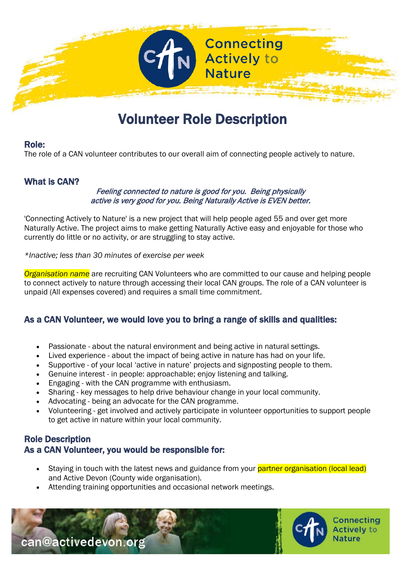

# **Role:**<br>Role: Volunteer Role Description

The role of a CAN volunteer contributes to our overall aim of connecting people actively to nature.

#### What is CAN?

#### Feeling connected to nature is good for you. Being physically active is very good for you. Being Naturally Active is EVEN better.

'Connecting Actively to Nature' is a new project that will help people aged 55 and over get more Naturally Active. The project aims to make getting Naturally Active easy and enjoyable for those who currently do little or no activity, or are struggling to stay active.

*\*Inactive; less than 30 minutes of exercise per week*

*Organisation name* are recruiting CAN Volunteers who are committed to our cause and helping people to connect actively to nature through accessing their local CAN groups. The role of a CAN volunteer is unpaid (All expenses covered) and requires a small time commitment.

#### As a CAN Volunteer, we would love you to bring a range of skills and qualities:

- Passionate about the natural environment and being active in natural settings.
- Lived experience about the impact of being active in nature has had on your life.
- Supportive of your local 'active in nature' projects and signposting people to them.
- Genuine interest in people: approachable; enjoy listening and talking.
- Engaging with the CAN programme with enthusiasm.
- Sharing key messages to help drive behaviour change in your local community.
- Advocating being an advocate for the CAN programme.
- Volunteering get involved and actively participate in volunteer opportunities to support people to get active in nature within your local community.

## Role Description As a CAN Volunteer, you would be responsible for:

- Staving in touch with the latest news and guidance from your **partner organisation (local lead)** and Active Devon (County wide organisation).
- Attending training opportunities and occasional network meetings.



Connecting **Actively to** Nature

can@activedevon.org